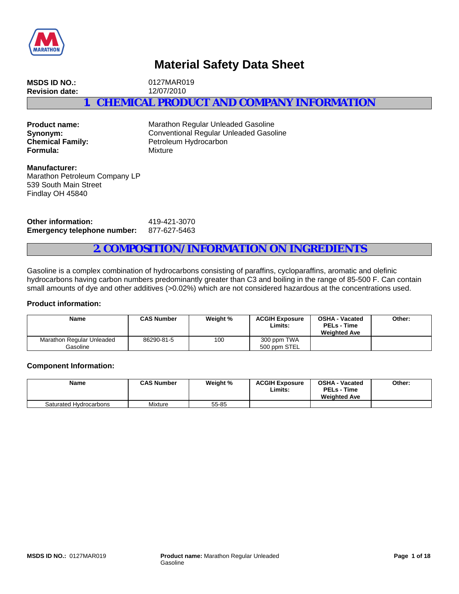

# **Material Safety Data Sheet**

**MSDS ID NO.:** 0127MAR019 **Revision date:** 12/07/2010 **1. CHEMICAL PRODUCT AND COMPANY INFORMATION**

**Formula:** Mixture

**Product name:** Marathon Regular Unleaded Gasoline **Synonym:** Conventional Regular Unleaded Gasoline<br> **Chemical Family:** Petroleum Hydrocarbon Petroleum Hydrocarbon

**Manufacturer:** Marathon Petroleum Company LP 539 South Main Street Findlay OH 45840

**Other information:** 419-421-3070 **Emergency telephone number:** 877-627-5463

## **2. COMPOSITION/INFORMATION ON INGREDIENTS**

Gasoline is a complex combination of hydrocarbons consisting of paraffins, cycloparaffins, aromatic and olefinic hydrocarbons having carbon numbers predominantly greater than C3 and boiling in the range of 85-500 F. Can contain small amounts of dye and other additives (>0.02%) which are not considered hazardous at the concentrations used.

### **Product information:**

| Name                                  | <b>CAS Number</b> | Weight % | <b>ACGIH Exposure</b><br>Limits: | <b>OSHA - Vacated</b><br><b>PELs - Time</b><br><b>Weighted Ave</b> | Other: |
|---------------------------------------|-------------------|----------|----------------------------------|--------------------------------------------------------------------|--------|
| Marathon Regular Unleaded<br>Gasoline | 86290-81-5        | 100      | 300 ppm TWA<br>500 ppm STEL      |                                                                    |        |

#### **Component Information:**

| <b>Name</b>            | <b>CAS Number</b> | Weight % | <b>ACGIH Exposure</b><br>Limits | <b>OSHA - Vacated</b><br><b>PELs - Time</b><br><b>Weighted Ave</b> | Other: |
|------------------------|-------------------|----------|---------------------------------|--------------------------------------------------------------------|--------|
| Saturated Hydrocarbons | Mixture           | 55-85    |                                 |                                                                    |        |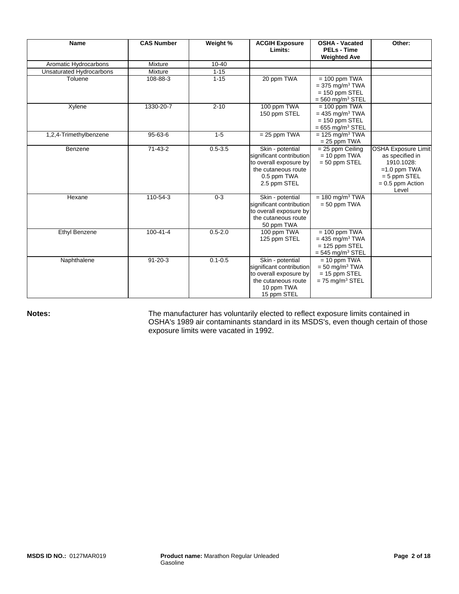| <b>Name</b>              | <b>CAS Number</b> | Weight %    | <b>ACGIH Exposure</b><br>Limits:                                                                                             | <b>OSHA - Vacated</b><br><b>PELs - Time</b><br><b>Weighted Ave</b>                                     | Other:                                                                                                                         |
|--------------------------|-------------------|-------------|------------------------------------------------------------------------------------------------------------------------------|--------------------------------------------------------------------------------------------------------|--------------------------------------------------------------------------------------------------------------------------------|
| Aromatic Hydrocarbons    | Mixture           | $10 - 40$   |                                                                                                                              |                                                                                                        |                                                                                                                                |
| Unsaturated Hydrocarbons | Mixture           | $1 - 15$    |                                                                                                                              |                                                                                                        |                                                                                                                                |
| Toluene                  | 108-88-3          | $1 - 15$    | 20 ppm TWA                                                                                                                   | $= 100$ ppm TWA<br>$=$ 375 mg/m <sup>3</sup> TWA<br>$= 150$ ppm STEL<br>$=$ 560 mg/m <sup>3</sup> STEL |                                                                                                                                |
| Xylene                   | 1330-20-7         | $2 - 10$    | 100 ppm TWA<br>150 ppm STEL                                                                                                  | $= 100$ ppm TWA<br>$= 435$ mg/m <sup>3</sup> TWA<br>$= 150$ ppm STEL<br>$= 655$ mg/m <sup>3</sup> STEL |                                                                                                                                |
| 1,2,4-Trimethylbenzene   | $95 - 63 - 6$     | $1 - 5$     | $= 25$ ppm TWA                                                                                                               | $= 125$ mg/m <sup>3</sup> TWA<br>$= 25$ ppm TWA                                                        |                                                                                                                                |
| Benzene                  | $71-43-2$         | $0.5 - 3.5$ | Skin - potential<br>significant contribution<br>to overall exposure by<br>the cutaneous route<br>0.5 ppm TWA<br>2.5 ppm STEL | $= 25$ ppm Ceiling<br>$= 10$ ppm TWA<br>$= 50$ ppm STEL                                                | <b>OSHA Exposure Limit</b><br>as specified in<br>1910.1028:<br>$=1.0$ ppm TWA<br>$= 5$ ppm STEL<br>$= 0.5$ ppm Action<br>Level |
| Hexane                   | 110-54-3          | $0 - 3$     | Skin - potential<br>significant contribution<br>to overall exposure by<br>the cutaneous route<br>50 ppm TWA                  | $= 180$ mg/m <sup>3</sup> TWA<br>$= 50$ ppm TWA                                                        |                                                                                                                                |
| Ethyl Benzene            | $100 - 41 - 4$    | $0.5 - 2.0$ | 100 ppm TWA<br>125 ppm STEL                                                                                                  | $= 100$ ppm TWA<br>$= 435$ mg/m <sup>3</sup> TWA<br>$= 125$ ppm STEL<br>$=$ 545 mg/m <sup>3</sup> STEL |                                                                                                                                |
| Naphthalene              | $91 - 20 - 3$     | $0.1 - 0.5$ | Skin - potential<br>significant contribution<br>to overall exposure by<br>the cutaneous route<br>10 ppm TWA<br>15 ppm STEL   | $= 10$ ppm TWA<br>$=$ 50 mg/m <sup>3</sup> TWA<br>$= 15$ ppm STEL<br>$= 75$ mg/m <sup>3</sup> STEL     |                                                                                                                                |

Notes: **Notes:** The manufacturer has voluntarily elected to reflect exposure limits contained in OSHA's 1989 air contaminants standard in its MSDS's, even though certain of those exposure limits were vacated in 1992.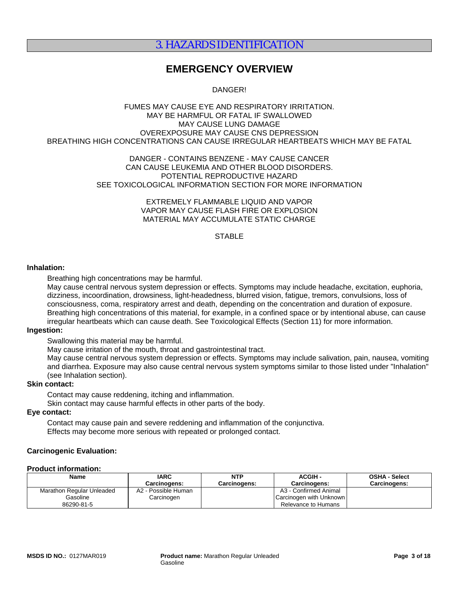# 3. HAZARDS IDENTIFICATION

# **EMERGENCY OVERVIEW**

DANGER!

#### FUMES MAY CAUSE EYE AND RESPIRATORY IRRITATION. MAY BE HARMFUL OR FATAL IF SWALLOWED MAY CAUSE LUNG DAMAGE OVEREXPOSURE MAY CAUSE CNS DEPRESSION BREATHING HIGH CONCENTRATIONS CAN CAUSE IRREGULAR HEARTBEATS WHICH MAY BE FATAL

#### DANGER - CONTAINS BENZENE - MAY CAUSE CANCER CAN CAUSE LEUKEMIA AND OTHER BLOOD DISORDERS. POTENTIAL REPRODUCTIVE HAZARD SEE TOXICOLOGICAL INFORMATION SECTION FOR MORE INFORMATION

EXTREMELY FLAMMABLE LIQUID AND VAPOR VAPOR MAY CAUSE FLASH FIRE OR EXPLOSION MATERIAL MAY ACCUMULATE STATIC CHARGE

## **STABLE**

#### **Inhalation:**

Breathing high concentrations may be harmful.

May cause central nervous system depression or effects. Symptoms may include headache, excitation, euphoria, dizziness, incoordination, drowsiness, light-headedness, blurred vision, fatigue, tremors, convulsions, loss of consciousness, coma, respiratory arrest and death, depending on the concentration and duration of exposure. Breathing high concentrations of this material, for example, in a confined space or by intentional abuse, can cause irregular heartbeats which can cause death. See Toxicological Effects (Section 11) for more information.

### **Ingestion:**

Swallowing this material may be harmful.

May cause irritation of the mouth, throat and gastrointestinal tract.

May cause central nervous system depression or effects. Symptoms may include salivation, pain, nausea, vomiting and diarrhea. Exposure may also cause central nervous system symptoms similar to those listed under "Inhalation" (see Inhalation section).

## **Skin contact:**

Contact may cause reddening, itching and inflammation.

Skin contact may cause harmful effects in other parts of the body.

## **Eye contact:**

Contact may cause pain and severe reddening and inflammation of the conjunctiva. Effects may become more serious with repeated or prolonged contact.

### **Carcinogenic Evaluation:**

#### **Product information:**

| <b>Name</b>               | <b>IARC</b>         | <b>NTP</b>          | <b>ACGIH -</b>          | <b>OSHA - Select</b> |
|---------------------------|---------------------|---------------------|-------------------------|----------------------|
|                           | Carcinogens:        | <b>Carcinogens:</b> | Carcinogens:            | <b>Carcinogens:</b>  |
| Marathon Regular Unleaded | A2 - Possible Human |                     | A3 - Confirmed Animal   |                      |
| Gasoline                  | Carcinogen          |                     | Carcinogen with Unknown |                      |
| 86290-81-5                |                     |                     | Relevance to Humans     |                      |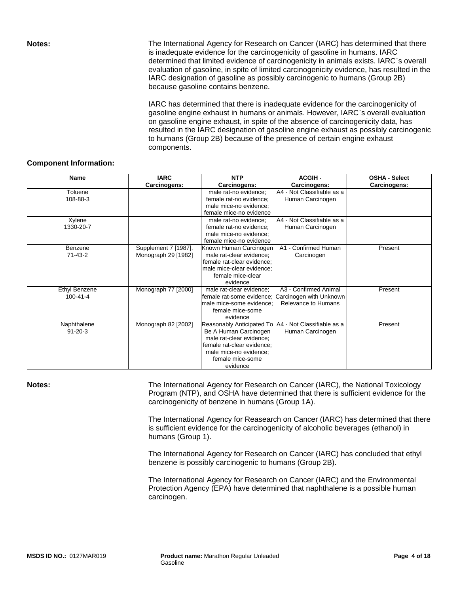**Notes:** The International Agency for Research on Cancer (IARC) has determined that there is inadequate evidence for the carcinogenicity of gasoline in humans. IARC determined that limited evidence of carcinogenicity in animals exists. IARC`s overall evaluation of gasoline, in spite of limited carcinogenicity evidence, has resulted in the IARC designation of gasoline as possibly carcinogenic to humans (Group 2B) because gasoline contains benzene.

> IARC has determined that there is inadequate evidence for the carcinogenicity of gasoline engine exhaust in humans or animals. However, IARC`s overall evaluation on gasoline engine exhaust, in spite of the absence of carcinogenicity data, has resulted in the IARC designation of gasoline engine exhaust as possibly carcinogenic to humans (Group 2B) because of the presence of certain engine exhaust components.

### **Component Information:**

| <b>Name</b>          | <b>IARC</b>                                 | <b>NTP</b>                                         | <b>ACGIH-</b>              | <b>OSHA - Select</b> |
|----------------------|---------------------------------------------|----------------------------------------------------|----------------------------|----------------------|
|                      | Carcinogens:                                | Carcinogens:                                       | Carcinogens:               | Carcinogens:         |
| Toluene              |                                             | male rat-no evidence;                              | A4 - Not Classifiable as a |                      |
| 108-88-3             |                                             | female rat-no evidence;                            | Human Carcinogen           |                      |
|                      |                                             | male mice-no evidence;                             |                            |                      |
|                      |                                             | female mice-no evidence                            |                            |                      |
| Xylene               |                                             | male rat-no evidence;                              | A4 - Not Classifiable as a |                      |
| 1330-20-7            |                                             | female rat-no evidence:                            | Human Carcinogen           |                      |
|                      |                                             | male mice-no evidence;                             |                            |                      |
| Benzene              |                                             | female mice-no evidence                            | A1 - Confirmed Human       | Present              |
| $71 - 43 - 2$        | Supplement 7 [1987],<br>Monograph 29 [1982] | Known Human Carcinogen<br>male rat-clear evidence; |                            |                      |
|                      |                                             | female rat-clear evidence;                         | Carcinogen                 |                      |
|                      |                                             | male mice-clear evidence;                          |                            |                      |
|                      |                                             | female mice-clear                                  |                            |                      |
|                      |                                             | evidence                                           |                            |                      |
| <b>Ethyl Benzene</b> | Monograph 77 [2000]                         | male rat-clear evidence;                           | A3 - Confirmed Animal      | Present              |
| $100 - 41 - 4$       |                                             | female rat-some evidence;                          | Carcinogen with Unknown    |                      |
|                      |                                             | male mice-some evidence:                           | Relevance to Humans        |                      |
|                      |                                             | female mice-some                                   |                            |                      |
|                      |                                             | evidence                                           |                            |                      |
| Naphthalene          | Monograph 82 [2002]                         | Reasonably Anticipated To                          | A4 - Not Classifiable as a | Present              |
| $91 - 20 - 3$        |                                             | Be A Human Carcinogen                              | Human Carcinogen           |                      |
|                      |                                             | male rat-clear evidence;                           |                            |                      |
|                      |                                             | female rat-clear evidence;                         |                            |                      |
|                      |                                             | male mice-no evidence;                             |                            |                      |
|                      |                                             | female mice-some                                   |                            |                      |
|                      |                                             | evidence                                           |                            |                      |

**Notes: The International Agency for Research on Cancer (IARC), the National Toxicology** Program (NTP), and OSHA have determined that there is sufficient evidence for the carcinogenicity of benzene in humans (Group 1A).

> The International Agency for Reasearch on Cancer (IARC) has determined that there is sufficient evidence for the carcinogenicity of alcoholic beverages (ethanol) in humans (Group 1).

The International Agency for Research on Cancer (IARC) has concluded that ethyl benzene is possibly carcinogenic to humans (Group 2B).

The International Agency for Research on Cancer (IARC) and the Environmental Protection Agency (EPA) have determined that naphthalene is a possible human carcinogen.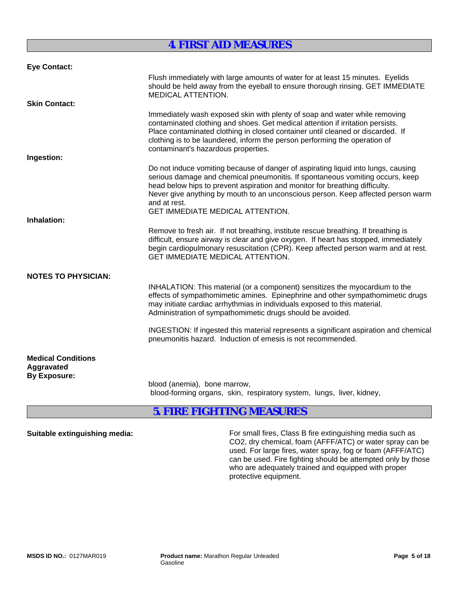# **4. FIRST AID MEASURES**

| <b>Eye Contact:</b>                                            |                                                                                                                                                                                                                                                                                                                                                                                                  |
|----------------------------------------------------------------|--------------------------------------------------------------------------------------------------------------------------------------------------------------------------------------------------------------------------------------------------------------------------------------------------------------------------------------------------------------------------------------------------|
|                                                                | Flush immediately with large amounts of water for at least 15 minutes. Eyelids<br>should be held away from the eyeball to ensure thorough rinsing. GET IMMEDIATE<br><b>MEDICAL ATTENTION.</b>                                                                                                                                                                                                    |
| <b>Skin Contact:</b>                                           |                                                                                                                                                                                                                                                                                                                                                                                                  |
|                                                                | Immediately wash exposed skin with plenty of soap and water while removing<br>contaminated clothing and shoes. Get medical attention if irritation persists.<br>Place contaminated clothing in closed container until cleaned or discarded. If<br>clothing is to be laundered, inform the person performing the operation of<br>contaminant's hazardous properties.                              |
| Ingestion:                                                     |                                                                                                                                                                                                                                                                                                                                                                                                  |
|                                                                | Do not induce vomiting because of danger of aspirating liquid into lungs, causing<br>serious damage and chemical pneumonitis. If spontaneous vomiting occurs, keep<br>head below hips to prevent aspiration and monitor for breathing difficulty.<br>Never give anything by mouth to an unconscious person. Keep affected person warm<br>and at rest.<br><b>GET IMMEDIATE MEDICAL ATTENTION.</b> |
| Inhalation:                                                    |                                                                                                                                                                                                                                                                                                                                                                                                  |
|                                                                | Remove to fresh air. If not breathing, institute rescue breathing. If breathing is<br>difficult, ensure airway is clear and give oxygen. If heart has stopped, immediately<br>begin cardiopulmonary resuscitation (CPR). Keep affected person warm and at rest.<br><b>GET IMMEDIATE MEDICAL ATTENTION.</b>                                                                                       |
| <b>NOTES TO PHYSICIAN:</b>                                     |                                                                                                                                                                                                                                                                                                                                                                                                  |
|                                                                | INHALATION: This material (or a component) sensitizes the myocardium to the<br>effects of sympathomimetic amines. Epinephrine and other sympathomimetic drugs<br>may initiate cardiac arrhythmias in individuals exposed to this material.<br>Administration of sympathomimetic drugs should be avoided.                                                                                         |
|                                                                | INGESTION: If ingested this material represents a significant aspiration and chemical<br>pneumonitis hazard. Induction of emesis is not recommended.                                                                                                                                                                                                                                             |
| <b>Medical Conditions</b><br>Aggravated<br><b>By Exposure:</b> |                                                                                                                                                                                                                                                                                                                                                                                                  |
|                                                                | blood (anemia), bone marrow,<br>blood-forming organs, skin, respiratory system, lungs, liver, kidney,                                                                                                                                                                                                                                                                                            |

# **5. FIRE FIGHTING MEASURES**

**Suitable extinguishing media:** For small fires, Class B fire extinguishing media such as CO2, dry chemical, foam (AFFF/ATC) or water spray can be used. For large fires, water spray, fog or foam (AFFF/ATC) can be used. Fire fighting should be attempted only by those who are adequately trained and equipped with proper protective equipment.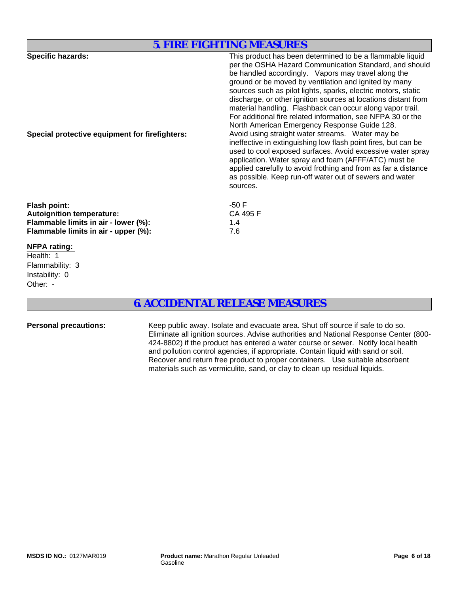## **5. FIRE FIGHTING MEASURES**

| <b>Specific hazards:</b><br>Special protective equipment for firefighters:                                                                                                  | This product has been determined to be a flammable liquid<br>per the OSHA Hazard Communication Standard, and should<br>be handled accordingly. Vapors may travel along the<br>ground or be moved by ventilation and ignited by many<br>sources such as pilot lights, sparks, electric motors, static<br>discharge, or other ignition sources at locations distant from<br>material handling. Flashback can occur along vapor trail.<br>For additional fire related information, see NFPA 30 or the<br>North American Emergency Response Guide 128.<br>Avoid using straight water streams. Water may be<br>ineffective in extinguishing low flash point fires, but can be<br>used to cool exposed surfaces. Avoid excessive water spray<br>application. Water spray and foam (AFFF/ATC) must be<br>applied carefully to avoid frothing and from as far a distance<br>as possible. Keep run-off water out of sewers and water<br>sources. |
|-----------------------------------------------------------------------------------------------------------------------------------------------------------------------------|-----------------------------------------------------------------------------------------------------------------------------------------------------------------------------------------------------------------------------------------------------------------------------------------------------------------------------------------------------------------------------------------------------------------------------------------------------------------------------------------------------------------------------------------------------------------------------------------------------------------------------------------------------------------------------------------------------------------------------------------------------------------------------------------------------------------------------------------------------------------------------------------------------------------------------------------|
| <b>Flash point:</b><br><b>Autoignition temperature:</b><br>Flammable limits in air - lower (%):<br>Flammable limits in air - upper (%):<br><b>NFPA rating:</b><br>Health: 1 | -50 F<br>CA 495 F<br>1.4<br>7.6                                                                                                                                                                                                                                                                                                                                                                                                                                                                                                                                                                                                                                                                                                                                                                                                                                                                                                         |
| Flammability: 3                                                                                                                                                             |                                                                                                                                                                                                                                                                                                                                                                                                                                                                                                                                                                                                                                                                                                                                                                                                                                                                                                                                         |

# **6. ACCIDENTAL RELEASE MEASURES**

Other: -

Instability: 0

Personal precautions: Keep public away. Isolate and evacuate area. Shut off source if safe to do so. Eliminate all ignition sources. Advise authorities and National Response Center (800- 424-8802) if the product has entered a water course or sewer. Notify local health and pollution control agencies, if appropriate. Contain liquid with sand or soil. Recover and return free product to proper containers. Use suitable absorbent materials such as vermiculite, sand, or clay to clean up residual liquids.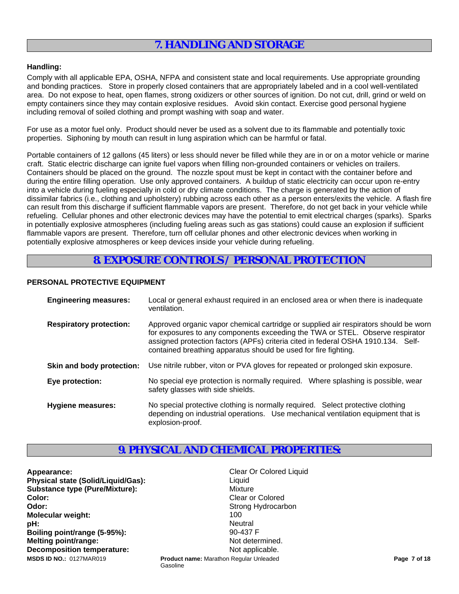# **7. HANDLING AND STORAGE**

### **Handling:**

Comply with all applicable EPA, OSHA, NFPA and consistent state and local requirements. Use appropriate grounding and bonding practices. Store in properly closed containers that are appropriately labeled and in a cool well-ventilated area. Do not expose to heat, open flames, strong oxidizers or other sources of ignition. Do not cut, drill, grind or weld on empty containers since they may contain explosive residues. Avoid skin contact. Exercise good personal hygiene including removal of soiled clothing and prompt washing with soap and water.

For use as a motor fuel only. Product should never be used as a solvent due to its flammable and potentially toxic properties. Siphoning by mouth can result in lung aspiration which can be harmful or fatal.

Portable containers of 12 gallons (45 liters) or less should never be filled while they are in or on a motor vehicle or marine craft. Static electric discharge can ignite fuel vapors when filling non-grounded containers or vehicles on trailers. Containers should be placed on the ground. The nozzle spout must be kept in contact with the container before and during the entire filling operation. Use only approved containers. A buildup of static electricity can occur upon re-entry into a vehicle during fueling especially in cold or dry climate conditions. The charge is generated by the action of dissimilar fabrics (i.e., clothing and upholstery) rubbing across each other as a person enters/exits the vehicle. A flash fire can result from this discharge if sufficient flammable vapors are present. Therefore, do not get back in your vehicle while refueling. Cellular phones and other electronic devices may have the potential to emit electrical charges (sparks). Sparks in potentially explosive atmospheres (including fueling areas such as gas stations) could cause an explosion if sufficient flammable vapors are present. Therefore, turn off cellular phones and other electronic devices when working in potentially explosive atmospheres or keep devices inside your vehicle during refueling.

# **8. EXPOSURE CONTROLS / PERSONAL PROTECTION**

## **PERSONAL PROTECTIVE EQUIPMENT**

| <b>Engineering measures:</b>   | Local or general exhaust required in an enclosed area or when there is inadequate<br>ventilation.                                                                                                                                                                                                                             |
|--------------------------------|-------------------------------------------------------------------------------------------------------------------------------------------------------------------------------------------------------------------------------------------------------------------------------------------------------------------------------|
| <b>Respiratory protection:</b> | Approved organic vapor chemical cartridge or supplied air respirators should be worn<br>for exposures to any components exceeding the TWA or STEL. Observe respirator<br>assigned protection factors (APFs) criteria cited in federal OSHA 1910.134. Self-<br>contained breathing apparatus should be used for fire fighting. |
| Skin and body protection:      | Use nitrile rubber, viton or PVA gloves for repeated or prolonged skin exposure.                                                                                                                                                                                                                                              |
| Eye protection:                | No special eye protection is normally required. Where splashing is possible, wear<br>safety glasses with side shields.                                                                                                                                                                                                        |
| <b>Hygiene measures:</b>       | No special protective clothing is normally required. Select protective clothing<br>depending on industrial operations. Use mechanical ventilation equipment that is<br>explosion-proof.                                                                                                                                       |

# **9. PHYSICAL AND CHEMICAL PROPERTIES:**

Gasoline

**Appearance:** Clear Or Colored Liquid **Physical state (Solid/Liquid/Gas):** Liquid Liquid **Substance type (Pure/Mixture):** Mixture **Color:** Clear or Colored **Colored Clear or Colored Odor:** Strong Hydrocarbon **Strong Hydrocarbon Molecular weight:** 100<br> **nH**: 100<br> **nH**: 100 **pH:** Neutral **Boiling point/range (5-95%):** 90-437 F **Melting point/range:** Not determined. **Decomposition temperature:** Not applicable. **Product name:** Marathon Regular Unleaded **Product Page 7 of 18 Page 7 of 18 Page 7 of 18**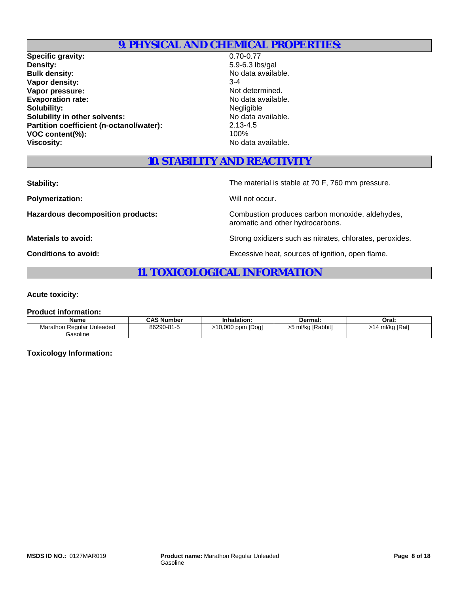# **9. PHYSICAL AND CHEMICAL PROPERTIES:**

**Specific gravity:** 0.70-0.77<br> **Density:** 5.9-6.3 lb: **Bulk density:** No data available. **Vapor density:**<br> **Vapor pressure: Vapor pressure: SACCONTENSITY: SACCONTENSITY: SACCONTENSITY: SACCONTENSITY: SACCONTENSITY: SACCONTENSITY: SACCONTENSITY: SACCONTENSITY: SACCONTENSITY: SAC Vapor pressure:** Evaporation rate:<br>
Solubility:<br>
Solubility:<br>
Negligible **Solubility: Solubility in other solvents:** No data available. **Partition coefficient (n-octanol/water):** 2.13-4.5<br>VOC content(%): 100% **VOC content(%): Viscosity:** No data available.

**Density:** 5.9-6.3 lbs/gal

# **10. STABILITY AND REACTIVITY**

**Stability:** The material is stable at 70 F, 760 mm pressure.

**Polymerization:** Will not occur.

Hazardous decomposition products: Combustion produces carbon monoxide, aldehydes, aromatic and other hydrocarbons.

**Materials to avoid:** National Bureau Strong oxidizers such as nitrates, chlorates, peroxides.

**Conditions to avoid:** Excessive heat, sources of ignition, open flame.

# **11. TOXICOLOGICAL INFORMATION**

#### **Acute toxicity:**

#### **Product information:**

| <b>Name</b>               | <b>CAS Number</b> | Inhalation:      | Dermal:           | Oral:           |
|---------------------------|-------------------|------------------|-------------------|-----------------|
| Marathon Regular Unleaded | 86290-81-5        | 10,000 ppm [Dog] | >5 ml/kg [Rabbit] | >14 ml/kg [Rat] |
| Gasoline                  |                   |                  |                   |                 |

### **Toxicology Information:**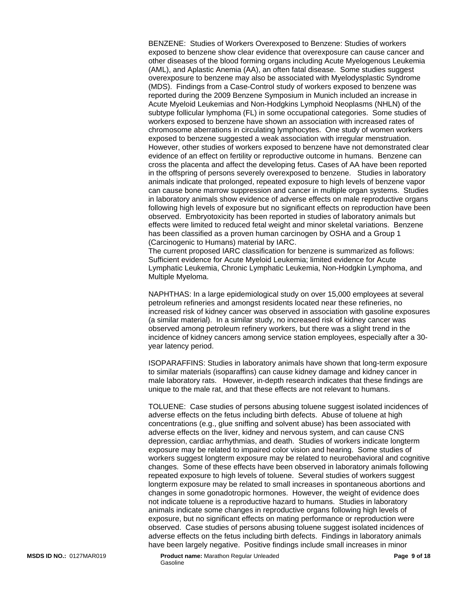BENZENE: Studies of Workers Overexposed to Benzene: Studies of workers exposed to benzene show clear evidence that overexposure can cause cancer and other diseases of the blood forming organs including Acute Myelogenous Leukemia (AML), and Aplastic Anemia (AA), an often fatal disease. Some studies suggest overexposure to benzene may also be associated with Myelodysplastic Syndrome (MDS). Findings from a Case-Control study of workers exposed to benzene was reported during the 2009 Benzene Symposium in Munich included an increase in Acute Myeloid Leukemias and Non-Hodgkins Lymphoid Neoplasms (NHLN) of the subtype follicular lymphoma (FL) in some occupational categories. Some studies of workers exposed to benzene have shown an association with increased rates of chromosome aberrations in circulating lymphocytes. One study of women workers exposed to benzene suggested a weak association with irregular menstruation. However, other studies of workers exposed to benzene have not demonstrated clear evidence of an effect on fertility or reproductive outcome in humans. Benzene can cross the placenta and affect the developing fetus. Cases of AA have been reported in the offspring of persons severely overexposed to benzene. Studies in laboratory animals indicate that prolonged, repeated exposure to high levels of benzene vapor can cause bone marrow suppression and cancer in multiple organ systems. Studies in laboratory animals show evidence of adverse effects on male reproductive organs following high levels of exposure but no significant effects on reproduction have been observed. Embryotoxicity has been reported in studies of laboratory animals but effects were limited to reduced fetal weight and minor skeletal variations. Benzene has been classified as a proven human carcinogen by OSHA and a Group 1 (Carcinogenic to Humans) material by IARC.

The current proposed IARC classification for benzene is summarized as follows: Sufficient evidence for Acute Myeloid Leukemia; limited evidence for Acute Lymphatic Leukemia, Chronic Lymphatic Leukemia, Non-Hodgkin Lymphoma, and Multiple Myeloma.

NAPHTHAS: In a large epidemiological study on over 15,000 employees at several petroleum refineries and amongst residents located near these refineries, no increased risk of kidney cancer was observed in association with gasoline exposures (a similar material). In a similar study, no increased risk of kidney cancer was observed among petroleum refinery workers, but there was a slight trend in the incidence of kidney cancers among service station employees, especially after a 30 year latency period.

ISOPARAFFINS: Studies in laboratory animals have shown that long-term exposure to similar materials (isoparaffins) can cause kidney damage and kidney cancer in male laboratory rats. However, in-depth research indicates that these findings are unique to the male rat, and that these effects are not relevant to humans.

TOLUENE: Case studies of persons abusing toluene suggest isolated incidences of adverse effects on the fetus including birth defects. Abuse of toluene at high concentrations (e.g., glue sniffing and solvent abuse) has been associated with adverse effects on the liver, kidney and nervous system, and can cause CNS depression, cardiac arrhythmias, and death. Studies of workers indicate longterm exposure may be related to impaired color vision and hearing. Some studies of workers suggest longterm exposure may be related to neurobehavioral and cognitive changes. Some of these effects have been observed in laboratory animals following repeated exposure to high levels of toluene. Several studies of workers suggest longterm exposure may be related to small increases in spontaneous abortions and changes in some gonadotropic hormones. However, the weight of evidence does not indicate toluene is a reproductive hazard to humans. Studies in laboratory animals indicate some changes in reproductive organs following high levels of exposure, but no significant effects on mating performance or reproduction were observed. Case studies of persons abusing toluene suggest isolated incidences of adverse effects on the fetus including birth defects. Findings in laboratory animals have been largely negative. Positive findings include small increases in minor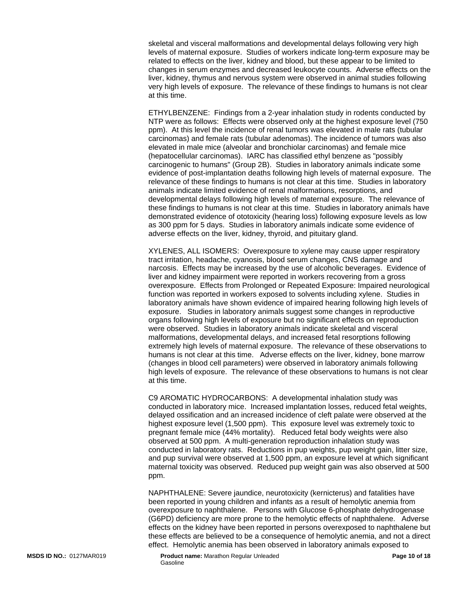skeletal and visceral malformations and developmental delays following very high levels of maternal exposure. Studies of workers indicate long-term exposure may be related to effects on the liver, kidney and blood, but these appear to be limited to changes in serum enzymes and decreased leukocyte counts. Adverse effects on the liver, kidney, thymus and nervous system were observed in animal studies following very high levels of exposure. The relevance of these findings to humans is not clear at this time.

ETHYLBENZENE: Findings from a 2-year inhalation study in rodents conducted by NTP were as follows: Effects were observed only at the highest exposure level (750 ppm). At this level the incidence of renal tumors was elevated in male rats (tubular carcinomas) and female rats (tubular adenomas). The incidence of tumors was also elevated in male mice (alveolar and bronchiolar carcinomas) and female mice (hepatocellular carcinomas). IARC has classified ethyl benzene as "possibly carcinogenic to humans" (Group 2B). Studies in laboratory animals indicate some evidence of post-implantation deaths following high levels of maternal exposure. The relevance of these findings to humans is not clear at this time. Studies in laboratory animals indicate limited evidence of renal malformations, resorptions, and developmental delays following high levels of maternal exposure. The relevance of these findings to humans is not clear at this time. Studies in laboratory animals have demonstrated evidence of ototoxicity (hearing loss) following exposure levels as low as 300 ppm for 5 days. Studies in laboratory animals indicate some evidence of adverse effects on the liver, kidney, thyroid, and pituitary gland.

XYLENES, ALL ISOMERS: Overexposure to xylene may cause upper respiratory tract irritation, headache, cyanosis, blood serum changes, CNS damage and narcosis. Effects may be increased by the use of alcoholic beverages. Evidence of liver and kidney impairment were reported in workers recovering from a gross overexposure. Effects from Prolonged or Repeated Exposure: Impaired neurological function was reported in workers exposed to solvents including xylene. Studies in laboratory animals have shown evidence of impaired hearing following high levels of exposure. Studies in laboratory animals suggest some changes in reproductive organs following high levels of exposure but no significant effects on reproduction were observed. Studies in laboratory animals indicate skeletal and visceral malformations, developmental delays, and increased fetal resorptions following extremely high levels of maternal exposure. The relevance of these observations to humans is not clear at this time. Adverse effects on the liver, kidney, bone marrow (changes in blood cell parameters) were observed in laboratory animals following high levels of exposure. The relevance of these observations to humans is not clear at this time.

C9 AROMATIC HYDROCARBONS: A developmental inhalation study was conducted in laboratory mice. Increased implantation losses, reduced fetal weights, delayed ossification and an increased incidence of cleft palate were observed at the highest exposure level (1,500 ppm). This exposure level was extremely toxic to pregnant female mice (44% mortality). Reduced fetal body weights were also observed at 500 ppm. A multi-generation reproduction inhalation study was conducted in laboratory rats. Reductions in pup weights, pup weight gain, litter size, and pup survival were observed at 1,500 ppm, an exposure level at which significant maternal toxicity was observed. Reduced pup weight gain was also observed at 500 ppm.

NAPHTHALENE: Severe jaundice, neurotoxicity (kernicterus) and fatalities have been reported in young children and infants as a result of hemolytic anemia from overexposure to naphthalene. Persons with Glucose 6-phosphate dehydrogenase (G6PD) deficiency are more prone to the hemolytic effects of naphthalene. Adverse effects on the kidney have been reported in persons overexposed to naphthalene but these effects are believed to be a consequence of hemolytic anemia, and not a direct effect. Hemolytic anemia has been observed in laboratory animals exposed to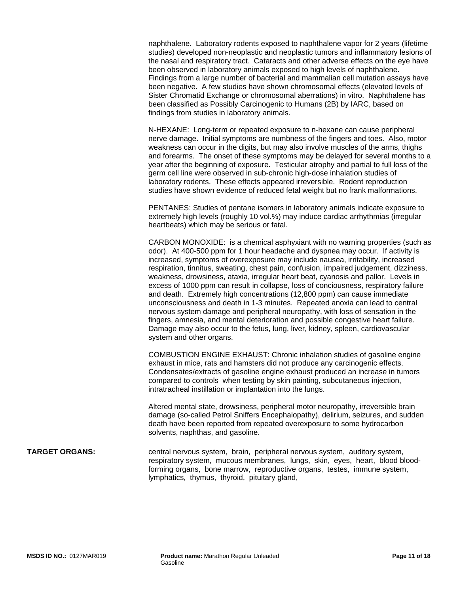naphthalene. Laboratory rodents exposed to naphthalene vapor for 2 years (lifetime studies) developed non-neoplastic and neoplastic tumors and inflammatory lesions of the nasal and respiratory tract. Cataracts and other adverse effects on the eye have been observed in laboratory animals exposed to high levels of naphthalene. Findings from a large number of bacterial and mammalian cell mutation assays have been negative. A few studies have shown chromosomal effects (elevated levels of Sister Chromatid Exchange or chromosomal aberrations) in vitro. Naphthalene has been classified as Possibly Carcinogenic to Humans (2B) by IARC, based on findings from studies in laboratory animals.

N-HEXANE: Long-term or repeated exposure to n-hexane can cause peripheral nerve damage. Initial symptoms are numbness of the fingers and toes. Also, motor weakness can occur in the digits, but may also involve muscles of the arms, thighs and forearms. The onset of these symptoms may be delayed for several months to a year after the beginning of exposure. Testicular atrophy and partial to full loss of the germ cell line were observed in sub-chronic high-dose inhalation studies of laboratory rodents. These effects appeared irreversible. Rodent reproduction studies have shown evidence of reduced fetal weight but no frank malformations.

PENTANES: Studies of pentane isomers in laboratory animals indicate exposure to extremely high levels (roughly 10 vol.%) may induce cardiac arrhythmias (irregular heartbeats) which may be serious or fatal.

CARBON MONOXIDE: is a chemical asphyxiant with no warning properties (such as odor). At 400-500 ppm for 1 hour headache and dyspnea may occur. If activity is increased, symptoms of overexposure may include nausea, irritability, increased respiration, tinnitus, sweating, chest pain, confusion, impaired judgement, dizziness, weakness, drowsiness, ataxia, irregular heart beat, cyanosis and pallor. Levels in excess of 1000 ppm can result in collapse, loss of conciousness, respiratory failure and death. Extremely high concentrations (12,800 ppm) can cause immediate unconsciousness and death in 1-3 minutes. Repeated anoxia can lead to central nervous system damage and peripheral neuropathy, with loss of sensation in the fingers, amnesia, and mental deterioration and possible congestive heart failure. Damage may also occur to the fetus, lung, liver, kidney, spleen, cardiovascular system and other organs.

COMBUSTION ENGINE EXHAUST: Chronic inhalation studies of gasoline engine exhaust in mice, rats and hamsters did not produce any carcinogenic effects. Condensates/extracts of gasoline engine exhaust produced an increase in tumors compared to controls when testing by skin painting, subcutaneous injection, intratracheal instillation or implantation into the lungs.

Altered mental state, drowsiness, peripheral motor neuropathy, irreversible brain damage (so-called Petrol Sniffers Encephalopathy), delirium, seizures, and sudden death have been reported from repeated overexposure to some hydrocarbon solvents, naphthas, and gasoline.

#### **TARGET ORGANS:** central nervous system, brain, peripheral nervous system, auditory system, respiratory system, mucous membranes, lungs, skin, eyes, heart, blood bloodforming organs, bone marrow, reproductive organs, testes, immune system, lymphatics, thymus, thyroid, pituitary gland,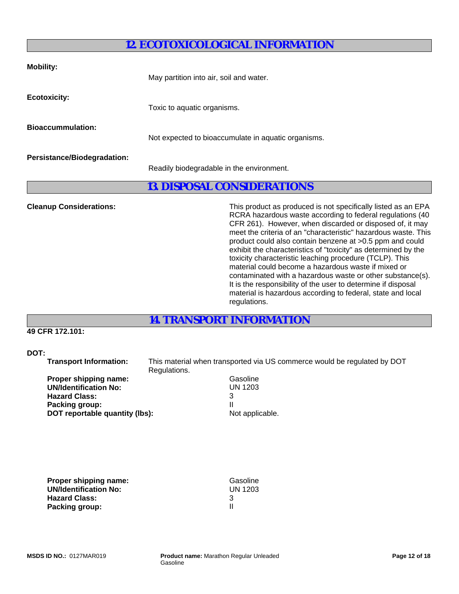# **12. ECOTOXICOLOGICAL INFORMATION**

| <b>Mobility:</b>                   | May partition into air, soil and water.             |
|------------------------------------|-----------------------------------------------------|
| <b>Ecotoxicity:</b>                | Toxic to aquatic organisms.                         |
| <b>Bioaccummulation:</b>           | Not expected to bioaccumulate in aquatic organisms. |
| <b>Persistance/Biodegradation:</b> | Readily biodegradable in the environment.           |

# **13. DISPOSAL CONSIDERATIONS**

**Cleanup Considerations:** This product as produced is not specifically listed as an EPA RCRA hazardous waste according to federal regulations (40 CFR 261). However, when discarded or disposed of, it may meet the criteria of an "characteristic" hazardous waste. This product could also contain benzene at >0.5 ppm and could exhibit the characteristics of "toxicity" as determined by the toxicity characteristic leaching procedure (TCLP). This material could become a hazardous waste if mixed or contaminated with a hazardous waste or other substance(s). It is the responsibility of the user to determine if disposal material is hazardous according to federal, state and local regulations.

**14. TRANSPORT INFORMATION**

## **49 CFR 172.101:**

### **DOT:**

 **Transport Information:** This material when transported via US commerce would be regulated by DOT Regulations.

| Gasoline       |
|----------------|
| <b>UN 1203</b> |
| 3              |
|                |
| Not appli      |
|                |

**UN 1203** 

**Not applicable.** 

**Proper shipping name:** Gasoline  **UN/Identification No:** UN 1203

**Hazard Class:** 3 **Packing group:** III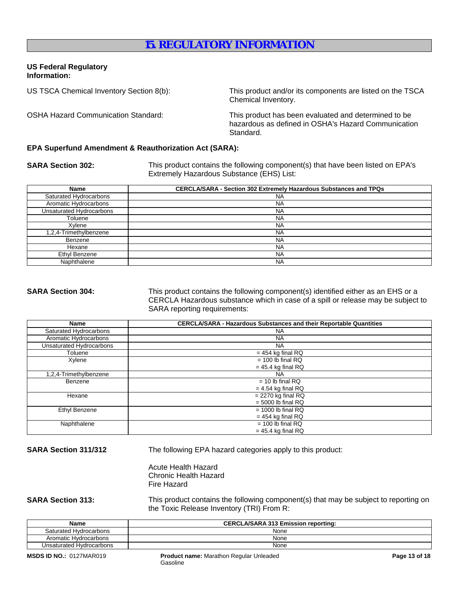# **15. REGULATORY INFORMATION**

### **US Federal Regulatory Information:**

US TSCA Chemical Inventory Section 8(b): This product and/or its components are listed on the TSCA Chemical Inventory.

OSHA Hazard Communication Standard: This product has been evaluated and determined to be hazardous as defined in OSHA's Hazard Communication Standard.

#### **EPA Superfund Amendment & Reauthorization Act (SARA):**

**SARA Section 302:** This product contains the following component(s) that have been listed on EPA's Extremely Hazardous Substance (EHS) List:

| Name                     | <b>CERCLA/SARA - Section 302 Extremely Hazardous Substances and TPQs</b> |
|--------------------------|--------------------------------------------------------------------------|
| Saturated Hydrocarbons   | <b>NA</b>                                                                |
| Aromatic Hydrocarbons    | <b>NA</b>                                                                |
| Unsaturated Hydrocarbons | <b>NA</b>                                                                |
| Toluene                  | <b>NA</b>                                                                |
| Xvlene                   | <b>NA</b>                                                                |
| 1,2,4-Trimethylbenzene   | <b>NA</b>                                                                |
| Benzene                  | <b>NA</b>                                                                |
| Hexane                   | <b>NA</b>                                                                |
| Ethyl Benzene            | <b>NA</b>                                                                |
| Naphthalene              | <b>NA</b>                                                                |

**SARA Section 304:** This product contains the following component(s) identified either as an EHS or a CERCLA Hazardous substance which in case of a spill or release may be subject to SARA reporting requirements:

| Name                     | <b>CERCLA/SARA - Hazardous Substances and their Reportable Quantities</b> |  |
|--------------------------|---------------------------------------------------------------------------|--|
| Saturated Hydrocarbons   | <b>NA</b>                                                                 |  |
| Aromatic Hydrocarbons    | <b>NA</b>                                                                 |  |
| Unsaturated Hydrocarbons | <b>NA</b>                                                                 |  |
| Toluene                  | $= 454$ kg final RQ                                                       |  |
| Xylene                   | $= 100$ lb final RQ                                                       |  |
|                          | $= 45.4$ kg final RQ                                                      |  |
| 1,2,4-Trimethylbenzene   | <b>NA</b>                                                                 |  |
| Benzene                  | $= 10$ lb final RQ                                                        |  |
|                          | $= 4.54$ kg final RQ                                                      |  |
| Hexane                   | $= 2270$ kg final RQ                                                      |  |
|                          | $= 5000$ lb final RQ                                                      |  |
| Ethyl Benzene            | $= 1000$ lb final RQ                                                      |  |
| $= 454$ kg final RQ      |                                                                           |  |
| Naphthalene              | $= 100$ lb final RQ                                                       |  |
|                          | $= 45.4$ kg final RQ                                                      |  |

**SARA Section 311/312** The following EPA hazard categories apply to this product:

Acute Health Hazard Chronic Health Hazard Fire Hazard

**SARA Section 313:** This product contains the following component(s) that may be subject to reporting on the Toxic Release Inventory (TRI) From R:

| <b>Name</b>              | <b>CERCLA/SARA 313 Emission reporting:</b> |  |
|--------------------------|--------------------------------------------|--|
| Saturated Hydrocarbons   | None                                       |  |
| Aromatic Hydrocarbons    | None                                       |  |
| Unsaturated Hydrocarbons | None                                       |  |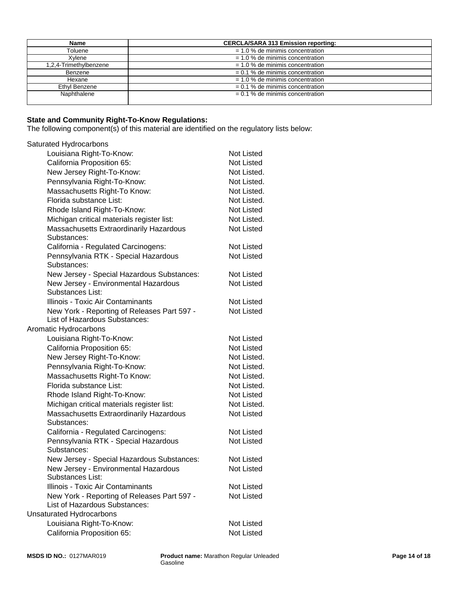| Name                   | <b>CERCLA/SARA 313 Emission reporting:</b> |  |
|------------------------|--------------------------------------------|--|
| Toluene                | $= 1.0$ % de minimis concentration         |  |
| Xvlene                 | $= 1.0$ % de minimis concentration         |  |
| 1,2,4-Trimethylbenzene | $= 1.0$ % de minimis concentration         |  |
| Benzene                | $= 0.1$ % de minimis concentration         |  |
| Hexane                 | $= 1.0$ % de minimis concentration         |  |
| Ethyl Benzene          | $= 0.1$ % de minimis concentration         |  |
| Naphthalene            | $= 0.1$ % de minimis concentration         |  |
|                        |                                            |  |

#### **State and Community Right-To-Know Regulations:**

The following component(s) of this material are identified on the regulatory lists below:

# Saturated Hydrocarbons

| Louisiana Right-To-Know:                                 | Not Listed        |
|----------------------------------------------------------|-------------------|
| California Proposition 65:                               | Not Listed        |
| New Jersey Right-To-Know:                                | Not Listed.       |
| Pennsylvania Right-To-Know:                              | Not Listed.       |
| Massachusetts Right-To Know:                             | Not Listed.       |
| Florida substance List:                                  | Not Listed.       |
| Rhode Island Right-To-Know:                              | Not Listed        |
| Michigan critical materials register list:               | Not Listed.       |
| Massachusetts Extraordinarily Hazardous                  | Not Listed        |
| Substances:                                              |                   |
| California - Regulated Carcinogens:                      | <b>Not Listed</b> |
| Pennsylvania RTK - Special Hazardous<br>Substances:      | <b>Not Listed</b> |
| New Jersey - Special Hazardous Substances:               | Not Listed        |
| New Jersey - Environmental Hazardous<br>Substances List: | <b>Not Listed</b> |
| Illinois - Toxic Air Contaminants                        | Not Listed        |
| New York - Reporting of Releases Part 597 -              | <b>Not Listed</b> |
| List of Hazardous Substances:                            |                   |
| Aromatic Hydrocarbons                                    |                   |
| Louisiana Right-To-Know:                                 | Not Listed        |
| California Proposition 65:                               | Not Listed        |
| New Jersey Right-To-Know:                                | Not Listed.       |
| Pennsylvania Right-To-Know:                              | Not Listed.       |
| Massachusetts Right-To Know:                             | Not Listed.       |
| Florida substance List:                                  | Not Listed.       |
| Rhode Island Right-To-Know:                              | Not Listed        |
| Michigan critical materials register list:               | Not Listed.       |
| Massachusetts Extraordinarily Hazardous                  | Not Listed        |
| Substances:                                              |                   |
| California - Regulated Carcinogens:                      | Not Listed        |
| Pennsylvania RTK - Special Hazardous<br>Substances:      | <b>Not Listed</b> |
| New Jersey - Special Hazardous Substances:               | Not Listed        |
| New Jersey - Environmental Hazardous                     | <b>Not Listed</b> |
| Substances List:                                         |                   |
| Illinois - Toxic Air Contaminants                        | Not Listed        |
| New York - Reporting of Releases Part 597 -              | <b>Not Listed</b> |
| List of Hazardous Substances:                            |                   |
| <b>Unsaturated Hydrocarbons</b>                          |                   |
| Louisiana Right-To-Know:                                 | Not Listed        |
| California Proposition 65:                               | Not Listed        |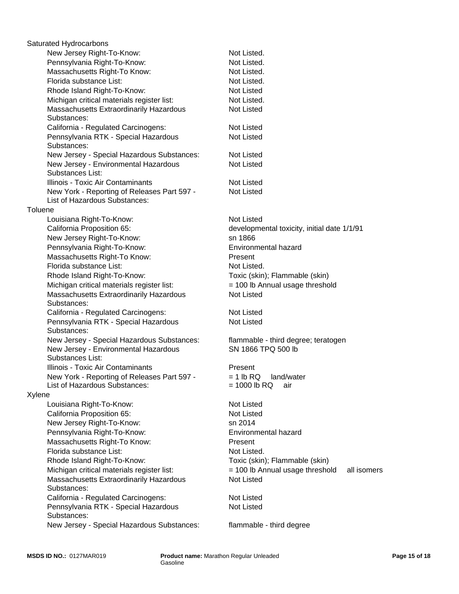|         | Saturated Hydrocarbons                                   |                                                |
|---------|----------------------------------------------------------|------------------------------------------------|
|         | New Jersey Right-To-Know:                                | Not Listed.                                    |
|         | Pennsylvania Right-To-Know:                              | Not Listed.                                    |
|         | Massachusetts Right-To Know:                             | Not Listed.                                    |
|         | Florida substance List:                                  | Not Listed.                                    |
|         | Rhode Island Right-To-Know:                              | Not Listed                                     |
|         | Michigan critical materials register list:               | Not Listed.                                    |
|         | Massachusetts Extraordinarily Hazardous                  | <b>Not Listed</b>                              |
|         | Substances:                                              |                                                |
|         | California - Regulated Carcinogens:                      | Not Listed                                     |
|         | Pennsylvania RTK - Special Hazardous<br>Substances:      | <b>Not Listed</b>                              |
|         | New Jersey - Special Hazardous Substances:               | <b>Not Listed</b>                              |
|         | New Jersey - Environmental Hazardous<br>Substances List: | <b>Not Listed</b>                              |
|         | Illinois - Toxic Air Contaminants                        | Not Listed                                     |
|         | New York - Reporting of Releases Part 597 -              | <b>Not Listed</b>                              |
|         | List of Hazardous Substances:                            |                                                |
| Toluene |                                                          |                                                |
|         | Louisiana Right-To-Know:                                 | <b>Not Listed</b>                              |
|         | California Proposition 65:                               | developmental toxicity, initial date 1/1/91    |
|         | New Jersey Right-To-Know:                                | sn 1866                                        |
|         | Pennsylvania Right-To-Know:                              | Environmental hazard                           |
|         | Massachusetts Right-To Know:                             | Present                                        |
|         | Florida substance List:                                  | Not Listed.                                    |
|         | Rhode Island Right-To-Know:                              | Toxic (skin); Flammable (skin)                 |
|         | Michigan critical materials register list:               | = 100 lb Annual usage threshold                |
|         | Massachusetts Extraordinarily Hazardous<br>Substances:   | <b>Not Listed</b>                              |
|         | California - Regulated Carcinogens:                      | <b>Not Listed</b>                              |
|         | Pennsylvania RTK - Special Hazardous<br>Substances:      | <b>Not Listed</b>                              |
|         | New Jersey - Special Hazardous Substances:               | flammable - third degree; teratogen            |
|         | New Jersey - Environmental Hazardous<br>Substances List: | SN 1866 TPQ 500 lb                             |
|         | Illinois - Toxic Air Contaminants                        | Present                                        |
|         | New York - Reporting of Releases Part 597 -              | $= 1 lb RQ$ land/water                         |
|         | List of Hazardous Substances:                            | $= 1000$ lb RQ<br>air                          |
| Xylene  |                                                          |                                                |
|         | Louisiana Right-To-Know:                                 | Not Listed                                     |
|         | California Proposition 65:                               | Not Listed                                     |
|         | New Jersey Right-To-Know:                                | sn 2014                                        |
|         | Pennsylvania Right-To-Know:                              | Environmental hazard                           |
|         | Massachusetts Right-To Know:                             | Present                                        |
|         | Florida substance List:                                  | Not Listed.                                    |
|         | Rhode Island Right-To-Know:                              | Toxic (skin); Flammable (skin)                 |
|         | Michigan critical materials register list:               | = 100 lb Annual usage threshold<br>all isomers |
|         | Massachusetts Extraordinarily Hazardous                  | <b>Not Listed</b>                              |
|         | Substances:                                              |                                                |
|         | California - Regulated Carcinogens:                      | Not Listed                                     |
|         | Pennsylvania RTK - Special Hazardous<br>Substances:      | <b>Not Listed</b>                              |
|         | New Jersey - Special Hazardous Substances:               | flammable - third degree                       |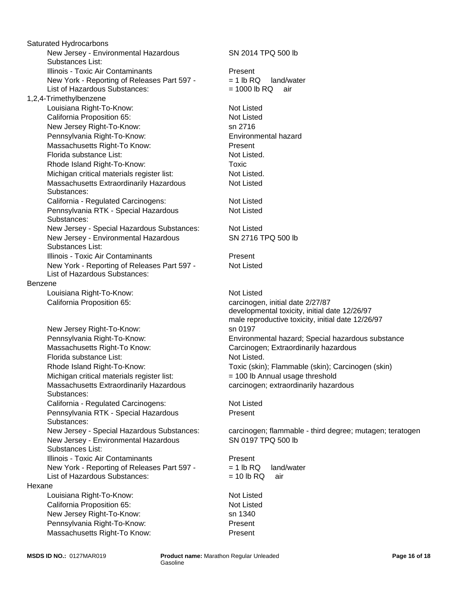New Jersey - Environmental Hazardous Substances List: Illinois - Toxic Air Contaminants **Present** New Jersey Right-To-Know: sn 2716 New York - Reporting of Releases Part 597 - List of Hazardous Substances: New Jersey - Environmental Hazardous Substances List: Benzene Pennsylvania Right-To-Know: Louisiana Right-To-Know: Not Listed New York - Reporting of Releases Part 597 - List of Hazardous Substances: California Proposition 65: carcinogen, initial date 2/27/87 New Jersey Right-To-Know: sn 0197 Massachusetts Right-To Know: Nassachusetts Right-To Know: Massachusetts Right-To Know: Carcinogen; Extraordinarily hazardous Florida substance List: Not Listed. Florida substance List: Not Listed. 1,2,4-Trimethylbenzene Michigan critical materials register list:  $= 100$  lb Annual usage threshold Rhode Island Right-To-Know: Massachusetts Extraordinarily Hazardous Substances: Saturated Hydrocarbons California - Regulated Carcinogens: Not Listed Pennsylvania RTK - Special Hazardous Substances: Michigan critical materials register list: Not Listed. New Jersey - Environmental Hazardous Substances List: Louisiana Right-To-Know: Illinois - Toxic Air Contaminants **Present** Massachusetts Extraordinarily Hazardous Substances: New York - Reporting of Releases Part 597 - List of Hazardous Substances: Hexane California - Regulated Carcinogens: Louisiana Right-To-Know: Not Listed Illinois - Toxic Air Contaminants California Proposition 65: Not Listed New Jersey Right-To-Know: sn 1340 Pennsylvania RTK - Special Hazardous Substances: Pennsylvania Right-To-Know: Present California Proposition 65: Massachusetts Right-To Know: Present New Jersey - Special Hazardous Substances:

SN 2716 TPQ 500 lb Not Listed Environmental hazard developmental toxicity, initial date 12/26/97 male reproductive toxicity, initial date 12/26/97  $= 1$  lb RQ land/water  $= 1000$  lb RQ air Pennsylvania Right-To-Know: Environmental hazard; Special hazardous substance SN 2014 TPQ 500 lb Rhode Island Right-To-Know: Toxic (skin); Flammable (skin); Carcinogen (skin) carcinogen; extraordinarily hazardous **Toxic** Present New Jersey - Special Hazardous Substances: carcinogen; flammable - third degree; mutagen; teratogen SN 0197 TPQ 500 lb Not Listed Not Listed Not Listed Present Not Listed Not Listed Not Listed

> $= 1$  lb RQ land/water  $= 10$  lb RQ air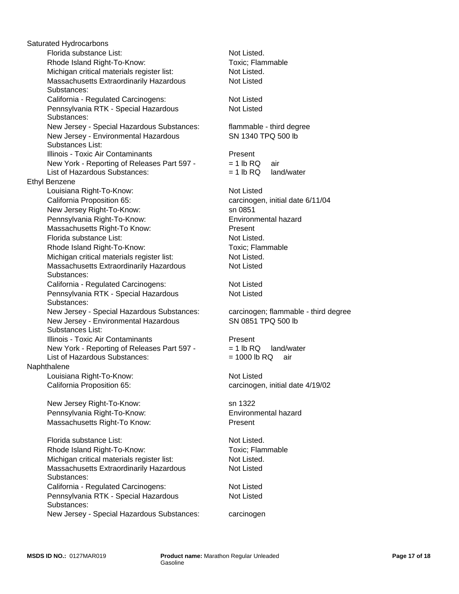Pennsylvania RTK - Special Hazardous Substances: Florida substance List: Not Listed. Rhode Island Right-To-Know: Toxic; Flammable New Jersey - Special Hazardous Substances: Michigan critical materials register list: Not Listed. Florida substance List: Massachusetts Extraordinarily Hazardous Substances: California - Regulated Carcinogens: Not Listed New Jersey - Environmental Hazardous Substances List: Pennsylvania RTK - Special Hazardous Substances: Michigan critical materials register list: Not Listed. New Jersey - Special Hazardous Substances: carcinogen; flammable - third degree New Jersey - Environmental Hazardous Substances List: Illinois - Toxic Air Contaminants **Present** Illinois - Toxic Air Contaminants **Present**  New York - Reporting of Releases Part 597 - List of Hazardous Substances: New York - Reporting of Releases Part 597 - List of Hazardous Substances: Naphthalene Louisiana Right-To-Know: Not Listed Massachusetts Extraordinarily Hazardous Substances: California Proposition 65: carcinogen, initial date 4/19/02 Ethyl Benzene New Jersey Right-To-Know: sn 1322 Saturated Hydrocarbons Pennsylvania Right-To-Know: Environmental hazard Louisiana Right-To-Know: Not Listed Massachusetts Right-To Know: Present Florida substance List: Not Listed. Rhode Island Right-To-Know: Toxic; Flammable California Proposition 65: carcinogen, initial date 6/11/04 Michigan critical materials register list: Not Listed. California - Regulated Carcinogens: Not Listed Massachusetts Extraordinarily Hazardous Substances: New Jersey Right-To-Know: California - Regulated Carcinogens: Not Listed Pennsylvania RTK - Special Hazardous Substances: Rhode Island Right-To-Know: Pennsylvania Right-To-Know: Environmental hazard Massachusetts Right-To Know:

New Jersey - Special Hazardous Substances: carcinogen

Present Not Listed flammable - third degree Not Listed SN 1340 TPQ 500 lb Not Listed SN 0851 TPQ 500 lb Not Listed.  $= 1$  lb RQ land/water  $= 1000$  lb RQ air  $= 1$  lb RQ air  $= 1$  lb RQ land/water Not Listed Not Listed sn 0851 Toxic; Flammable

Not Listed